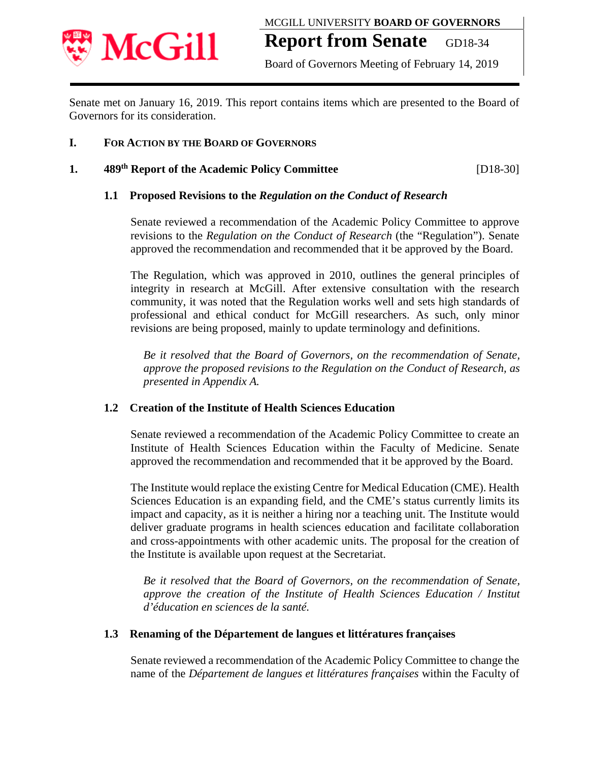

Board of Governors Meeting of February 14, 2019

Senate met on January 16, 2019. This report contains items which are presented to the Board of Governors for its consideration.

## **I. FOR ACTION BY THE BOARD OF GOVERNORS**

## **1. 489th Report of the Academic Policy Committee** [D18-30]

## **1.1 Proposed Revisions to the** *Regulation on the Conduct of Research*

Senate reviewed a recommendation of the Academic Policy Committee to approve revisions to the *Regulation on the Conduct of Research* (the "Regulation"). Senate approved the recommendation and recommended that it be approved by the Board.

The Regulation, which was approved in 2010, outlines the general principles of integrity in research at McGill. After extensive consultation with the research community, it was noted that the Regulation works well and sets high standards of professional and ethical conduct for McGill researchers. As such, only minor revisions are being proposed, mainly to update terminology and definitions.

*Be it resolved that the Board of Governors, on the recommendation of Senate, approve the proposed revisions to the Regulation on the Conduct of Research, as presented in Appendix A.* 

## **1.2 Creation of the Institute of Health Sciences Education**

Senate reviewed a recommendation of the Academic Policy Committee to create an Institute of Health Sciences Education within the Faculty of Medicine. Senate approved the recommendation and recommended that it be approved by the Board.

The Institute would replace the existing Centre for Medical Education (CME). Health Sciences Education is an expanding field, and the CME's status currently limits its impact and capacity, as it is neither a hiring nor a teaching unit. The Institute would deliver graduate programs in health sciences education and facilitate collaboration and cross-appointments with other academic units. The proposal for the creation of the Institute is available upon request at the Secretariat.

*Be it resolved that the Board of Governors, on the recommendation of Senate, approve the creation of the Institute of Health Sciences Education / Institut d'éducation en sciences de la santé.* 

## **1.3 Renaming of the Département de langues et littératures françaises**

Senate reviewed a recommendation of the Academic Policy Committee to change the name of the *Département de langues et littératures françaises* within the Faculty of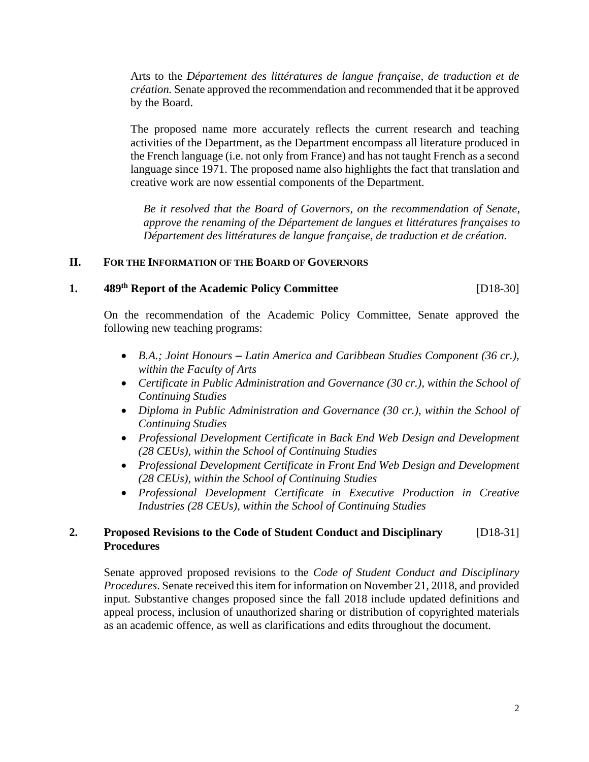Arts to the *Département des littératures de langue française, de traduction et de création.* Senate approved the recommendation and recommended that it be approved by the Board.

The proposed name more accurately reflects the current research and teaching activities of the Department, as the Department encompass all literature produced in the French language (i.e. not only from France) and has not taught French as a second language since 1971. The proposed name also highlights the fact that translation and creative work are now essential components of the Department.

*Be it resolved that the Board of Governors, on the recommendation of Senate, approve the renaming of the Département de langues et littératures françaises to Département des littératures de langue française, de traduction et de création.* 

## **II. FOR THE INFORMATION OF THE BOARD OF GOVERNORS**

## **1. 489th Report of the Academic Policy Committee** [D18-30]

On the recommendation of the Academic Policy Committee, Senate approved the following new teaching programs:

- *B.A.; Joint Honours – Latin America and Caribbean Studies Component (36 cr.), within the Faculty of Arts*
- *Certificate in Public Administration and Governance (30 cr.), within the School of Continuing Studies*
- Diploma in Public Administration and Governance (30 cr.), within the School of *Continuing Studies*
- *Professional Development Certificate in Back End Web Design and Development (28 CEUs), within the School of Continuing Studies*
- *Professional Development Certificate in Front End Web Design and Development (28 CEUs), within the School of Continuing Studies*
- *Professional Development Certificate in Executive Production in Creative Industries (28 CEUs), within the School of Continuing Studies*

## **2. Proposed Revisions to the Code of Student Conduct and Disciplinary** [D18-31]  **Procedures**

Senate approved proposed revisions to the *Code of Student Conduct and Disciplinary Procedures*. Senate received this item for information on November 21, 2018, and provided input. Substantive changes proposed since the fall 2018 include updated definitions and appeal process, inclusion of unauthorized sharing or distribution of copyrighted materials as an academic offence, as well as clarifications and edits throughout the document.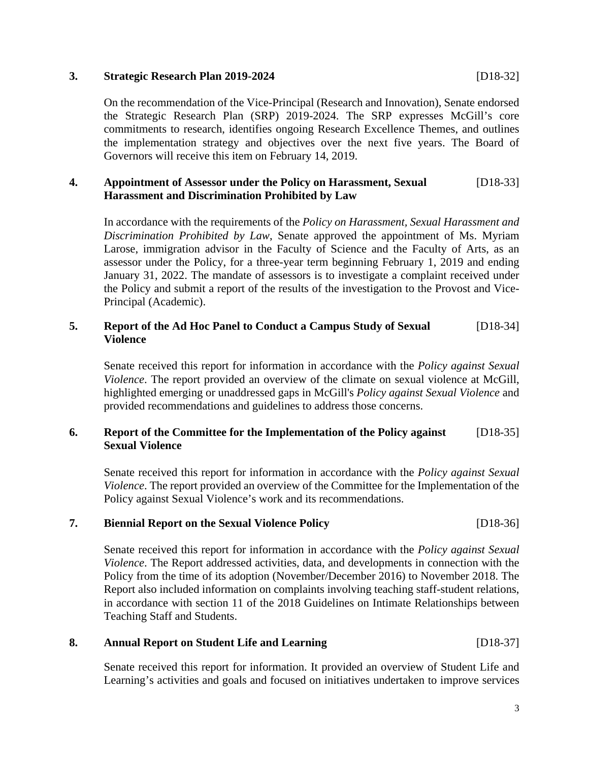## **3. Strategic Research Plan 2019-2024** [D18-32]

On the recommendation of the Vice-Principal (Research and Innovation), Senate endorsed the Strategic Research Plan (SRP) 2019-2024. The SRP expresses McGill's core commitments to research, identifies ongoing Research Excellence Themes, and outlines the implementation strategy and objectives over the next five years. The Board of Governors will receive this item on February 14, 2019.

## **4. Appointment of Assessor under the Policy on Harassment, Sexual** [D18-33]  **Harassment and Discrimination Prohibited by Law**

In accordance with the requirements of the *Policy on Harassment, Sexual Harassment and Discrimination Prohibited by Law*, Senate approved the appointment of Ms. Myriam Larose, immigration advisor in the Faculty of Science and the Faculty of Arts, as an assessor under the Policy, for a three-year term beginning February 1, 2019 and ending January 31, 2022. The mandate of assessors is to investigate a complaint received under the Policy and submit a report of the results of the investigation to the Provost and Vice-Principal (Academic).

## **5. Report of the Ad Hoc Panel to Conduct a Campus Study of Sexual** [D18-34] **Violence**

Senate received this report for information in accordance with the *Policy against Sexual Violence*. The report provided an overview of the climate on sexual violence at McGill, highlighted emerging or unaddressed gaps in McGill's *Policy against Sexual Violence* and provided recommendations and guidelines to address those concerns.

## **6. Report of the Committee for the Implementation of the Policy against** [D18-35] **Sexual Violence**

Senate received this report for information in accordance with the *Policy against Sexual Violence*. The report provided an overview of the Committee for the Implementation of the Policy against Sexual Violence's work and its recommendations.

## **7. Biennial Report on the Sexual Violence Policy** [D18-36]

Senate received this report for information in accordance with the *Policy against Sexual Violence*. The Report addressed activities, data, and developments in connection with the Policy from the time of its adoption (November/December 2016) to November 2018. The Report also included information on complaints involving teaching staff-student relations, in accordance with section 11 of the 2018 Guidelines on Intimate Relationships between Teaching Staff and Students.

## **8. Annual Report on Student Life and Learning** [D18-37]

Senate received this report for information. It provided an overview of Student Life and Learning's activities and goals and focused on initiatives undertaken to improve services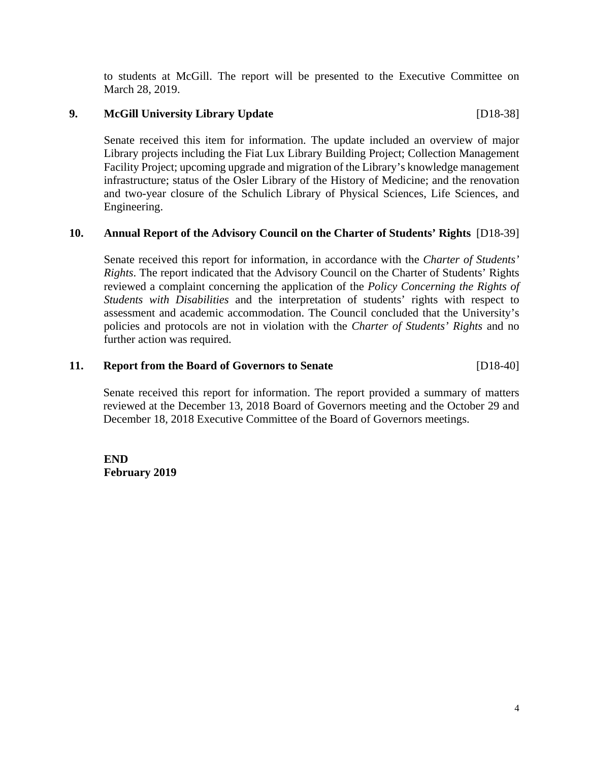to students at McGill. The report will be presented to the Executive Committee on March 28, 2019.

## **9. McGill University Library Update** [D18-38]

Senate received this item for information. The update included an overview of major Library projects including the Fiat Lux Library Building Project; Collection Management Facility Project; upcoming upgrade and migration of the Library's knowledge management infrastructure; status of the Osler Library of the History of Medicine; and the renovation and two-year closure of the Schulich Library of Physical Sciences, Life Sciences, and Engineering.

## **10. Annual Report of the Advisory Council on the Charter of Students' Rights** [D18-39]

Senate received this report for information, in accordance with the *Charter of Students' Rights*. The report indicated that the Advisory Council on the Charter of Students' Rights reviewed a complaint concerning the application of the *Policy Concerning the Rights of Students with Disabilities* and the interpretation of students' rights with respect to assessment and academic accommodation. The Council concluded that the University's policies and protocols are not in violation with the *Charter of Students' Rights* and no further action was required.

## **11. Report from the Board of Governors to Senate** [D18-40]

Senate received this report for information. The report provided a summary of matters reviewed at the December 13, 2018 Board of Governors meeting and the October 29 and December 18, 2018 Executive Committee of the Board of Governors meetings.

**END February 2019**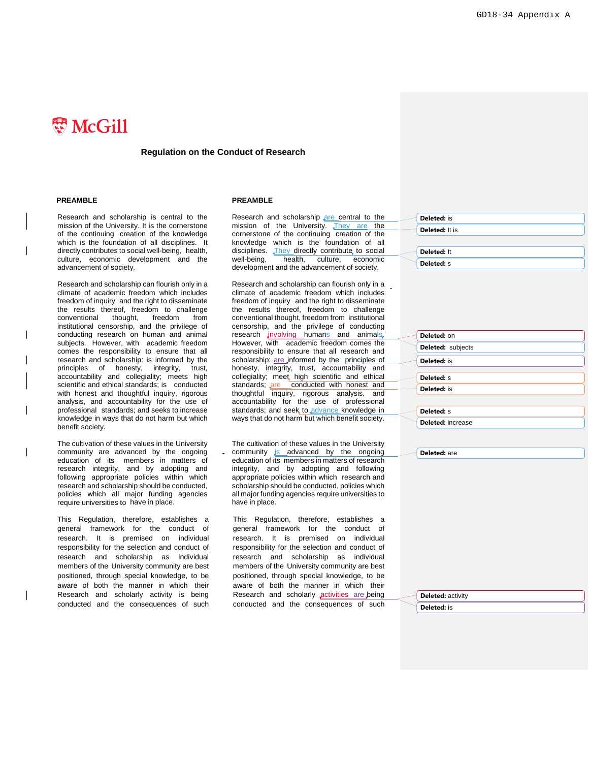# **W** McGill

### **Regulation on the Conduct of Research**

Research and scholarship is central to the mission of the University. It is the cornerstone of the continuing creation of the knowledge which is the foundation of all disciplines. It directly contributes to social well-being, health, culture, economic development and the advancement of society.

Research and scholarship can flourish only in a climate of academic freedom which includes freedom of inquiry and the right to disseminate the results thereof, freedom to challenge<br>conventional thought, freedom from conventional thought, freedom institutional censorship, and the privilege of conducting research on human and animal subjects. However, with academic freedom comes the responsibility to ensure that all research and scholarship: is informed by the principles of honesty, integrity, trust, accountability and collegiality; meets high scientific and ethical standards; is conducted with honest and thoughtful inquiry, rigorous analysis, and accountability for the use of professional standards; and seeks to increase knowledge in ways that do not harm but which benefit society.

The cultivation of these values in the University community are advanced by the ongoing education of its members in matters of research integrity, and by adopting and following appropriate policies within which research and scholarship should be conducted, policies which all major funding agencies require universities to have in place.

This Regulation, therefore, establishes a general framework for the conduct of research. It is premised on individual responsibility for the selection and conduct of research and scholarship as individual members of the University community are best positioned, through special knowledge, to be aware of both the manner in which their Research and scholarly activity is being conducted and the consequences of such

#### **PREAMBLE PREAMBLE**

Research and scholarship are central to the mission of the University. They are the cornerstone of the continuing creation of the knowledge which is the foundation of all disciplines. They directly contribute to social<br>well-being, health, culture, economic well-being, health, culture, economic development and the advancement of society.

Research and scholarship can flourish only in a climate of academic freedom which includes freedom of inquiry and the right to disseminate the results thereof, freedom to challenge conventional thought, freedom from institutional censorship, and the privilege of conducting research *involving* humans and animals. However, with academic freedom comes the responsibility to ensure that all research and scholarship: are informed by the principles of honesty, integrity, trust, accountability and collegiality; meet high scientific and ethical standards; are conducted with honest and thoughtful inquiry, rigorous analysis, and accountability for the use of professional standards; and seek to advance knowledge in ways that do not harm but which benefit society.

The cultivation of these values in the University community is advanced by the ongoing education of its members in matters of research integrity, and by adopting and following appropriate policies within which research and scholarship should be conducted, policies which all major funding agencies require universities to have in place.

This Regulation, therefore, establishes a general framework for the conduct of research. It is premised on individual responsibility for the selection and conduct of research and scholarship as individual members of the University community are best positioned, through special knowledge, to be aware of both the manner in which their Research and scholarly **activities** are being conducted and the consequences of such **Deleted:** is **Deleted:** It is **Deleted:** It **Deleted:** s

| Deleted: on       |
|-------------------|
| Deleted: subjects |
| Deleted: is       |
| Deleted: S        |
| Deleted: is       |
|                   |
| Deleted: S        |
| Deleted: increase |

**Deleted:** are

**Deleted:** activity

**Deleted:** is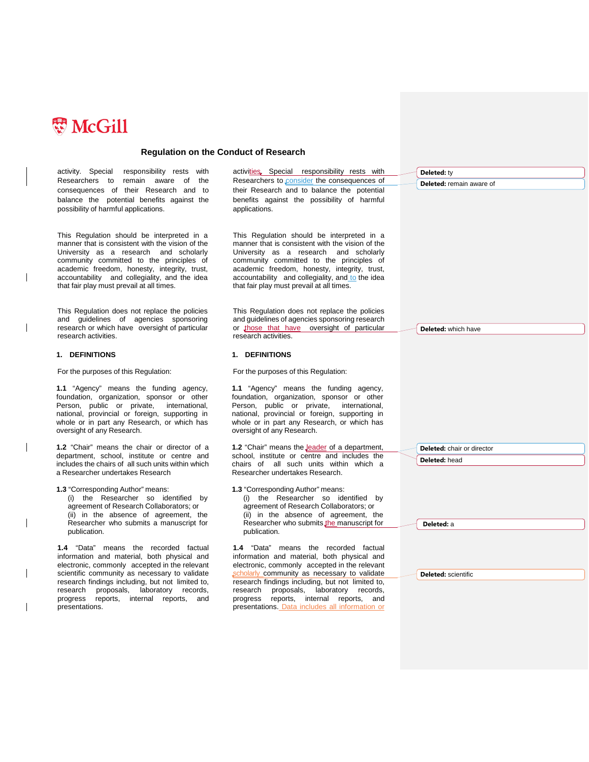

activity. Special responsibility rests with Researchers to remain aware of the consequences of their Research and to balance the potential benefits against the possibility of harmful applications. activities. Special responsibility rests with Researchers to consider the consequences of their Research and to balance the potential benefits against the possibility of harmful applications. This Regulation should be interpreted in a manner that is consistent with the vision of the University as a research and scholarly community committed to the principles of academic freedom, honesty, integrity, trust, accountability and collegiality, and the idea that fair play must prevail at all times. This Regulation should be interpreted in a manner that is consistent with the vision of the University as a research and scholarly community committed to the principles of academic freedom, honesty, integrity, trust, accountability and collegiality, and to the idea that fair play must prevail at all times. This Regulation does not replace the policies and guidelines of agencies sponsoring research or which have oversight of particular research activities. This Regulation does not replace the policies and guidelines of agencies sponsoring research or those that have oversight of particular research activities. **1. DEFINITIONS** For the purposes of this Regulation: **1. DEFINITIONS** For the purposes of this Regulation: **1.1** "Agency" means the funding agency, foundation, organization, sponsor or other Person, public or private, international, national, provincial or foreign, supporting in whole or in part any Research, or which has oversight of any Research. **1.1** "Agency" means the funding agency, foundation, organization, sponsor or other Person, public or private, international, national, provincial or foreign, supporting in whole or in part any Research, or which has oversight of any Research. **1.2** "Chair" means the chair or director of a department, school, institute or centre and includes the chairs of all such units within which a Researcher undertakes Research 1.2 "Chair" means the **Jeader** of a department, school, institute or centre and includes the chairs of all such units within which a Researcher undertakes Research. **1.3** "Corresponding Author" means: (i) the Researcher so identified by agreement of Research Collaborators; or (ii) in the absence of agreement, the Researcher who submits a manuscript for publication. **1.3** "Corresponding Author" means: (i) the Researcher so identified by agreement of Research Collaborators; or (ii) in the absence of agreement, the Researcher who submits the manuscript for publication. **1.4** "Data" means the recorded factual information and material, both physical and electronic, commonly accepted in the relevant scientific community as necessary to validate research findings including, but not limited to, research proposals, laboratory records, progress reports, internal reports, and presentations. **1.4** "Data" means the recorded factual information and material, both physical and electronic, commonly accepted in the relevant scholarly community as necessary to validate research findings including, but not limited to, research proposals, laboratory records, progress reports, internal reports, and presentations. Data includes all information or **Deleted:** ty **Deleted:** remain aware of **Deleted:** which have **Deleted:** chair or director **Deleted:** head **Deleted:** a **Deleted:** scientific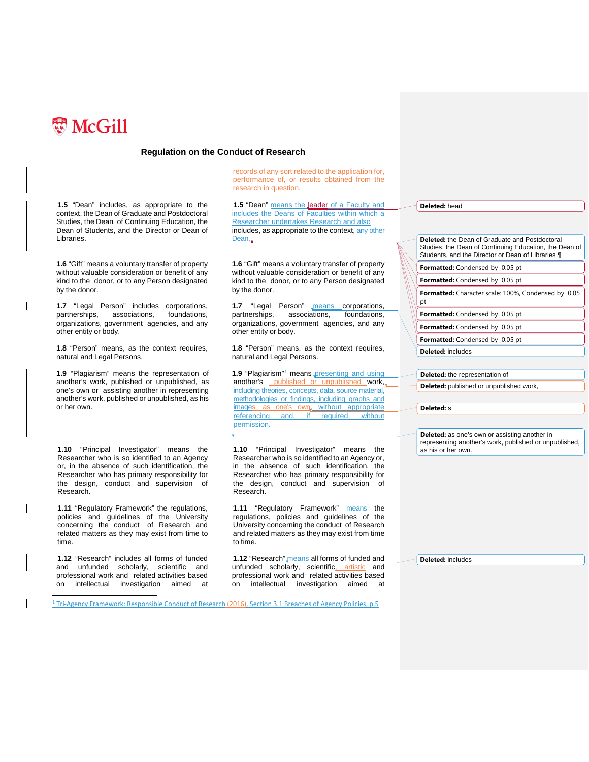

**1.5** "Dean" includes, as appropriate to the context, the Dean of Graduate and Postdoctoral Studies, the Dean of Continuing Education, the Dean of Students, and the Director or Dean of Libraries.

**1.6** "Gift" means a voluntary transfer of property without valuable consideration or benefit of any kind to the donor, or to any Person designated by the donor.

**1.7** "Legal Person" includes corporations, partnerships, associations, foundations, organizations, government agencies, and any other entity or body.

**1.8** "Person" means, as the context requires, natural and Legal Persons.

**1.9** "Plagiarism" means the representation of another's work, published or unpublished, as one's own or assisting another in representing another's work, published or unpublished, as his or her own.

**1.10** "Principal Investigator" means the Researcher who is so identified to an Agency or, in the absence of such identification, the Researcher who has primary responsibility for the design, conduct and supervision of Research.

**1.11** "Regulatory Framework" the regulations, policies and guidelines of the University concerning the conduct of Research and related matters as they may exist from time to time.

**1.12** "Research" includes all forms of funded and unfunded scholarly, scientific and professional work and related activities based on [intellectual](http://en.wikipedia.org/wiki/Intellectual) [investigation](http://en.wikipedia.org/wiki/Investigation) aimed at

records of any sort related to the application for, performance of, or results obtained from the research in question.

1.5 "Dean" means the leader of a Faculty and includes the Deans of Faculties within which a Researcher undertakes Research and also includes, as appropriate to the context, any other Dean..

**1.6** "Gift" means a voluntary transfer of property without valuable consideration or benefit of any kind to the donor, or to any Person designated by the donor.

1.7 "Legal Person" means corporations, partnerships, associations, foundations, organizations, government agencies, and any other entity or body.

**1.8** "Person" means, as the context requires, natural and Legal Persons.

**[1](#page-6-0).9** "Plagiarism"<sup>1</sup> means presenting and using another's published or unpublished work, including theories, concepts, data, source material, methodologies or findings, including graphs and images, as one's own, without appropriate referencing and, if required, permission.

**1.10** "Principal Investigator" means the Researcher who is so identified to an Agency or, in the absence of such identification, the Researcher who has primary responsibility for the design, conduct and supervision of Research.

**1.11** "Regulatory Framework" **means** the regulations, policies and guidelines of the University concerning the conduct of Research and related matters as they may exist from time to time.

**1.12** "Research" means all forms of funded and unfunded scholarly, scientific, artistic and professional work and related activities based on [intellectual](http://en.wikipedia.org/wiki/Intellectual) [investigation](http://en.wikipedia.org/wiki/Investigation) aimed

**Deleted:** head

**Deleted:** the Dean of Graduate and Postdoctoral Studies, the Dean of Continuing Education, the Dean of Students, and the Director or Dean of Libraries.¶ **Formatted:** Condensed by 0.05 pt **Formatted:** Condensed by 0.05 pt **Formatted:** Character scale: 100%, Condensed by 0.05 pt **Formatted:** Condensed by 0.05 pt **Formatted:** Condensed by 0.05 pt **Formatted:** Condensed by 0.05 pt **Deleted:** includes **Deleted:** the representation of **Deleted:** published or unpublished work, **Deleted:** s **Deleted:** as one's own or assisting another in representing another's work, published or unpublished,

**Deleted:** includes

as his or her own.

<span id="page-6-0"></span><sup>1</sup> Tri-Agency Framework: Responsible Conduct of Research (2016), Section 3.1 Breaches of Agency Policies, p.5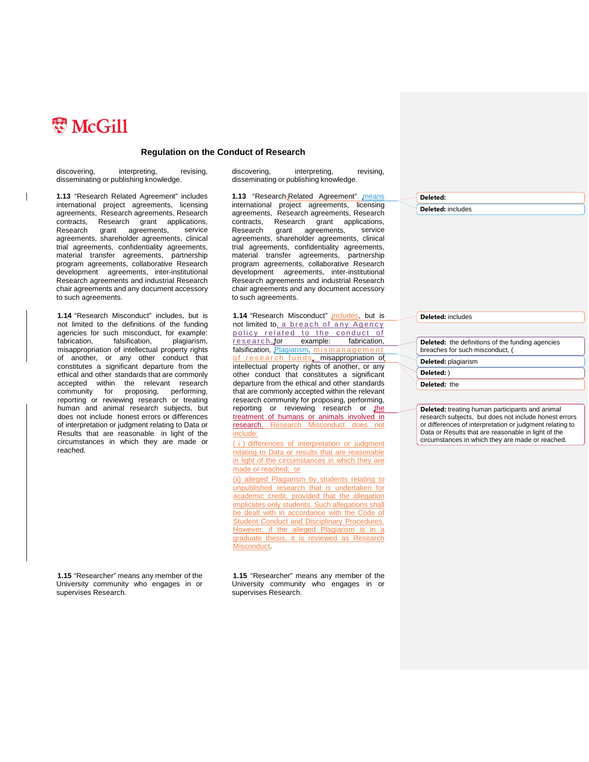

 $\overline{\phantom{a}}$ 

### **Regulation on the Conduct of Research**

discovering, interpreting, revising, disseminating or publishing knowledge.

**1.13** "Research Related Agreement" includes international project agreements, licensing agreements, Research agreements, Research contracts, Research grant applications, Research grant agreements, service agreements, shareholder agreements, clinical trial agreements, confidentiality agreements, material transfer agreements, partnership program agreements, collaborative Research development agreements, inter-institutional Research agreements and industrial Research chair agreements and any document accessory to such agreements.

**1.14** "Research Misconduct" includes, but is not limited to the definitions of the funding agencies for such misconduct, for example: fabrication, falsification, misappropriation of intellectual property rights of another, or any other conduct that constitutes a significant departure from the ethical and other standards that are commonly accepted within the relevant research community for proposing, performing, reporting or reviewing research or treating human and animal research subjects, but does not include honest errors or differences of interpretation or judgment relating to Data or Results that are reasonable in light of the circumstances in which they are made or reached.

**1.15** "Researcher" means any member of the University community who engages in or supervises Research.

discovering, interpreting, revising, disseminating or publishing knowledge.

1.13 "Research-Related Agreement" means international project agreements, licensing agreements, Research agreements, Research contracts, Research grant applications, Research grant agreements, service agreements, shareholder agreements, clinical trial agreements, confidentiality agreements, material transfer agreements, partnership program agreements, collaborative Research development agreements, inter-institutional Research agreements and industrial Research chair agreements and any document accessory to such agreements.

1.14 "Research Misconduct" *jncludes*, but is not limited to, a breach of any Agency policy related to the conduct of<br>research, for example: fabrication, research, for example: fabrication, falsification, Plagiarism, mismanagemen of research funds, misappropriation of intellectual property rights of another, or any other conduct that constitutes a significant departure from the ethical and other standards that are commonly accepted within the relevant research community for proposing, performing, reporting or reviewing research or the treatment of humans or animals involved in research. Research Misconduct does not include:

( i ) differences of interpretation or judgment relating to Data or results that are reasonable in light of the circumstances in which they are made or reached; or

(ii) alleged Plagiarism by students relating to unpublished research that is undertaken for academic credit, provided that the allegation implicates only students. Such allegations shall be dealt with in accordance with the Code of **Student Conduct and Disciplinary Procedures.** However, if the alleged Plagiarism is in a graduate thesis, it is reviewed as Research Misconduct.

**1.15** "Researcher" means any member of the University community who engages in or supervises Research.

**Deleted:** 

**Deleted:** includes

**Deleted:** includes

**Deleted:** the definitions of the funding agencies breaches for such misconduct, ( **Deleted:** plagiarism

**Deleted:** )

**Deleted:** the

**Deleted:** treating human participants and animal research subjects, but does not include honest errors or differences of interpretation or judgment relating to Data or Results that are reasonable in light of the circumstances in which they are made or reached.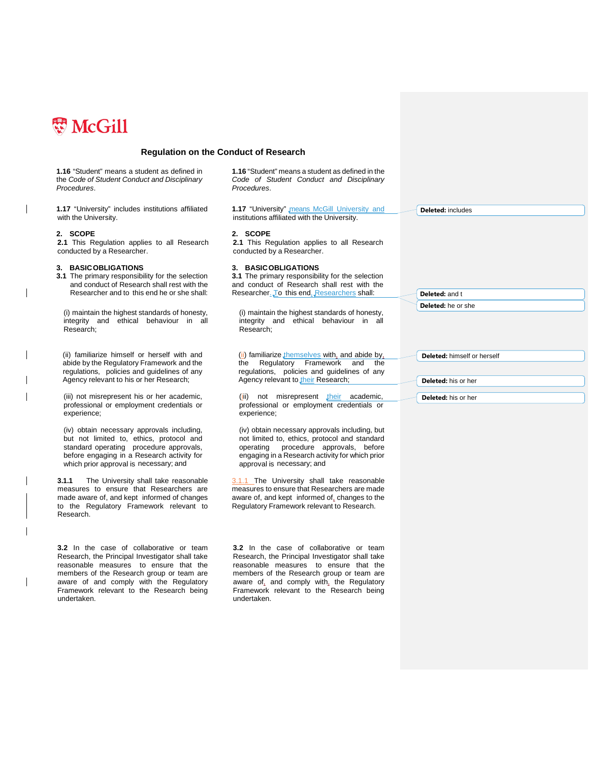

(iv) obtain necessary approvals including, but not limited to, ethics, protocol and standard operating procedure approvals, before engaging in a Research activity for which prior approval is necessary; and

**3.1.1** The University shall take reasonable measures to ensure that Researchers are made aware of, and kept informed of changes to the Regulatory Framework relevant to

**3.2** In the case of collaborative or team Research, the Principal Investigator shall take reasonable measures to ensure that the members of the Research group or team are aware of and comply with the Regulatory Framework relevant to the Research being

Research.

undertaken.

### **Regulation on the Conduct of Research**

**1.16** "Student" means a student as defined in the *Code of Student Conduct and Disciplinary Procedures*. **1.16** "Student" means a student as defined in the *Code of Student Conduct and Disciplinary Procedures*. **1.17** "University" includes institutions affiliated with the University. **1.17** "University" means McGill University and institutions affiliated with the University. **2. SCOPE 2. SCOPE 2.1** This Regulation applies to all Research conducted by a Researcher. **2.1** This Regulation applies to all Research conducted by a Researcher. **3. BASICOBLIGATIONS 3. BASICOBLIGATIONS 3.1** The primary responsibility for the selection and conduct of Research shall rest with the Researcher and to this end he or she shall: **3.1** The primary responsibility for the selection and conduct of Research shall rest with the Researcher. To this end, Researchers shall: (i) maintain the highest standards of honesty, integrity and ethical behaviour in all Research; (i) maintain the highest standards of honesty, integrity and ethical behaviour in all Research; (ii) familiarize himself or herself with and abide by the Regulatory Framework and the regulations, policies and guidelines of any Agency relevant to his or her Research; (ii) familiarize themselves with, and abide by, the Regulatory Framework and the regulations, policies and guidelines of any Agency relevant to their Research; (iii) not misrepresent his or her academic, professional or employment credentials or experience; (iii) not misrepresent their academic, professional or employment credentials or experience; **Deleted:** includes **Deleted:** and t **Deleted:** he or she **Deleted:** himself or herself **Deleted:** his or her **Deleted:** his or her

> (iv) obtain necessary approvals including, but not limited to, ethics, protocol and standard operating procedure approvals, before engaging in a Research activity for which prior approval is necessary; and

3.1.1 The University shall take reasonable measures to ensure that Researchers are made aware of, and kept informed of, changes to the Regulatory Framework relevant to Research.

**3.2** In the case of collaborative or team Research, the Principal Investigator shall take reasonable measures to ensure that the members of the Research group or team are aware of, and comply with, the Regulatory Framework relevant to the Research being undertaken.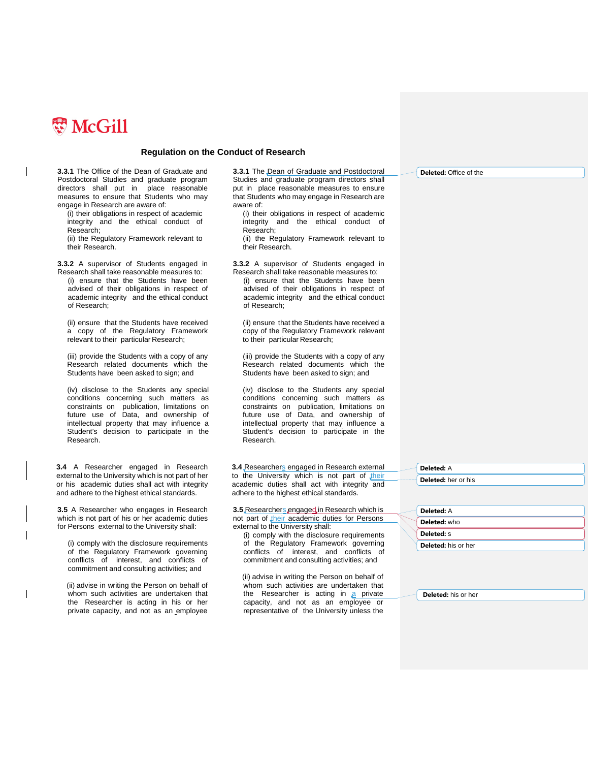

**3.3.1** The Office of the Dean of Graduate and Postdoctoral Studies and graduate program directors shall put in place reasonable measures to ensure that Students who may engage in Research are aware of:

(i) their obligations in respect of academic integrity and the ethical conduct of Research;

(ii) the Regulatory Framework relevant to their Research.

**3.3.2** A supervisor of Students engaged in Research shall take reasonable measures to:

(i) ensure that the Students have been advised of their obligations in respect of academic integrity and the ethical conduct of Research;

(ii) ensure that the Students have received a copy of the Regulatory Framework relevant to their particular Research;

(iii) provide the Students with a copy of any Research related documents which the Students have been asked to sign; and

(iv) disclose to the Students any special conditions concerning such matters as constraints on publication, limitations on future use of Data, and ownership of intellectual property that may influence a Student's decision to participate in the Research.

**3.4** A Researcher engaged in Research external to the University which is not part of her or his academic duties shall act with integrity and adhere to the highest ethical standards.

**3.5** A Researcher who engages in Research which is not part of his or her academic duties for Persons external to the University shall:

(i) comply with the disclosure requirements of the Regulatory Framework governing conflicts of interest, and conflicts of commitment and consulting activities; and

 (ii) advise in writing the Person on behalf of whom such activities are undertaken that the Researcher is acting in his or her private capacity, and not as an employee **3.3.1** The Dean of Graduate and Postdoctoral Studies and graduate program directors shall put in place reasonable measures to ensure that Students who may engage in Research are aware of:

(i) their obligations in respect of academic integrity and the ethical conduct of Research;

(ii) the Regulatory Framework relevant to their Research.

**3.3.2** A supervisor of Students engaged in Research shall take reasonable measures to:

(i) ensure that the Students have been advised of their obligations in respect of academic integrity and the ethical conduct of Research;

(ii) ensure that the Students have received a copy of the Regulatory Framework relevant to their particular Research;

(iii) provide the Students with a copy of any Research related documents which the Students have been asked to sign; and

(iv) disclose to the Students any special conditions concerning such matters as constraints on publication, limitations on future use of Data, and ownership of intellectual property that may influence a Student's decision to participate in the Research.

**3.4** Researchers engaged in Research external to the University which is not part of their academic duties shall act with integrity and adhere to the highest ethical standards.

**3.5** Researchers engaged in Research which is not part of their academic duties for Persons external to the University shall:

(i) comply with the disclosure requirements of the Regulatory Framework governing conflicts of interest, and conflicts of commitment and consulting activities; and

 (ii) advise in writing the Person on behalf of whom such activities are undertaken that the Researcher is acting in  $a$  private capacity, and not as an employee or representative of the University unless the **Deleted:** Office of the

**Deleted:** A **Deleted:** her or his

| <b>Deleted: A</b>   |
|---------------------|
| Deleted: who        |
| <b>Deleted:</b> S   |
| Deleted: his or her |

**Deleted:** his or her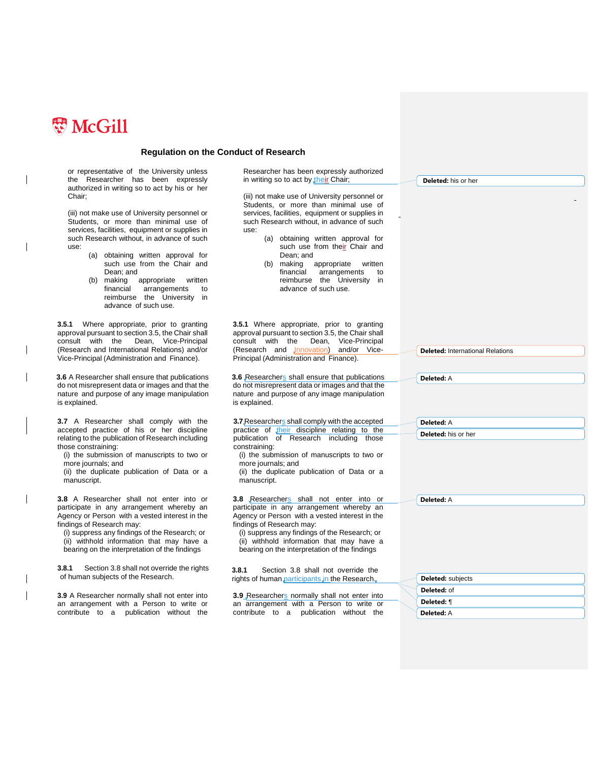

or representative of the University unless the Researcher has been expressly authorized in writing so to act by his or her Chair;

(iii) not make use of University personnel or Students, or more than minimal use of services, facilities, equipment or supplies in such Research without, in advance of such use:

- (a) obtaining written approval for such use from the Chair and Dean; and<br>(b) making
- appropriate written financial arrangements to reimburse the University in advance of such use.

**3.5.1** Where appropriate, prior to granting approval pursuant to section 3.5, the Chair shall<br>consult with the Dean, Vice-Principal consult with the Dean, Vice-Principal (Research and International Relations) and/or Vice-Principal (Administration and Finance).

**3.6** A Researcher shall ensure that publications do not misrepresent data or images and that the nature and purpose of any image manipulation is explained.

**3.7** A Researcher shall comply with the accepted practice of his or her discipline relating to the publication of Research including those constraining:

(i) the submission of manuscripts to two or more journals; and

(ii) the duplicate publication of Data or a manuscript.

**3.8** A Researcher shall not enter into or participate in any arrangement whereby an Agency or Person with a vested interest in the findings of Research may:

(i) suppress any findings of the Research; or (ii) withhold information that may have a bearing on the interpretation of the findings

**3.8.1** Section 3.8 shall not override the rights of human subjects of the Research.

**3.9** A Researcher normally shall not enter into an arrangement with a Person to write or contribute to a publication without the

Researcher has been expressly authorized in writing so to act by their Chair;

(iii) not make use of University personnel or Students, or more than minimal use of services, facilities, equipment or supplies in such Research without, in advance of such use:

- (a) obtaining written approval for such use from their Chair and Dean; and<br>making
- (b) making appropriate written<br>financial arrangements to final contract contains to reimburse the University in advance of such use.

**3.5.1** Where appropriate, prior to granting approval pursuant to section 3.5, the Chair shall consult with the Dean, Vice-Principal<br>(Research and Innovation) and/or Vice-(Research and **Jnnovation**) Principal (Administration and Finance).

**3.6** Researchers shall ensure that publications do not misrepresent data or images and that the nature and purpose of any image manipulation is explained.

**3.7** Researchers shall comply with the accepted practice of their discipline relating to the publication of Research including those constraining:

(i) the submission of manuscripts to two or more journals; and

(ii) the duplicate publication of Data or a manuscript.

**3.8** Researchers shall not enter into or participate in any arrangement whereby an Agency or Person with a vested interest in the findings of Research may:

(i) suppress any findings of the Research; or (ii) withhold information that may have a bearing on the interpretation of the findings

**3.8.1** Section 3.8 shall not override the rights of human participants in the Research.

**3.9** Researchers normally shall not enter into an arrangement with a Person to write or contribute to a publication without the

**Deleted:** International Relations **Deleted:** A **Deleted:** A **Deleted:** his or her

**Deleted:** his or her

**Deleted:** A

| <b>Deleted:</b> subjects |
|--------------------------|
| Deleted: of              |
| Deleted: ¶               |
| Deleted: A               |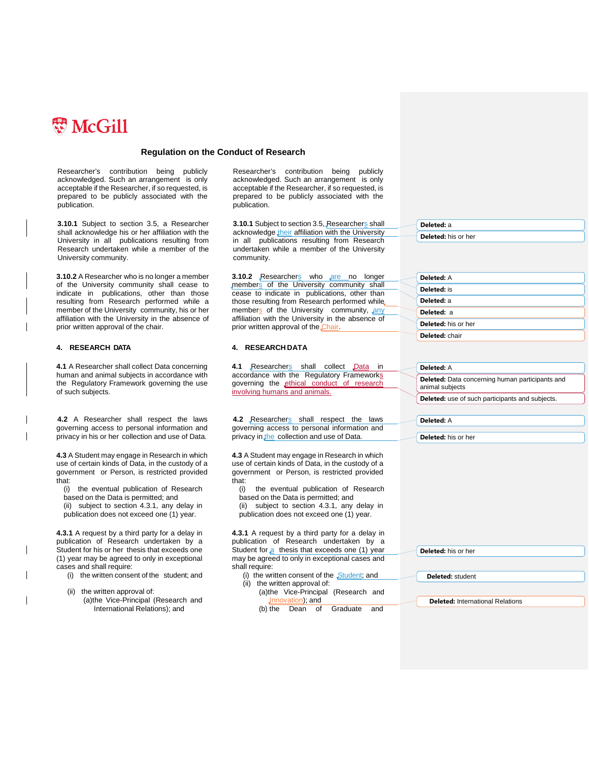

Researcher's contribution being publicly acknowledged. Such an arrangement is only acceptable if the Researcher, if so requested, is prepared to be publicly associated with the publication.

**3.10.1** Subject to section 3.5, a Researcher shall acknowledge his or her affiliation with the University in all publications resulting from Research undertaken while a member of the University community.

**3.10.2** A Researcher who is no longer a member of the University community shall cease to indicate in publications, other than those resulting from Research performed while a member of the University community, his or her affiliation with the University in the absence of prior written approval of the chair.

**4.1** A Researcher shall collect Data concerning human and animal subjects in accordance with the Regulatory Framework governing the use of such subjects.

**4.2** A Researcher shall respect the laws governing access to personal information and privacy in his or her collection and use of Data.

**4.3** A Student may engage in Research in which use of certain kinds of Data, in the custody of a government or Person, is restricted provided that:

(i) the eventual publication of Research based on the Data is permitted; and

- (ii) subject to section 4.3.1, any delay in
- publication does not exceed one (1) year.

**4.3.1** A request by a third party for a delay in publication of Research undertaken by a Student for his or her thesis that exceeds one (1) year may be agreed to only in exceptional cases and shall require:

- (i) the written consent of the student; and
- (ii) the written approval of: (a)the Vice-Principal (Research and International Relations); and

Researcher's contribution being publicly acknowledged. Such an arrangement is only acceptable if the Researcher, if so requested, is prepared to be publicly associated with the publication.

**3.10.1** Subject to section 3.5, Researchers shall acknowledge their affiliation with the University in all publications resulting from Research undertaken while a member of the University community.

**3.10.2** Researchers who are no longer members of the University community shall cease to indicate in publications, other than those resulting from Research performed while members of the University community, any affiliation with the University in the absence of prior written approval of the Chair

#### **4. RESEARCH DATA 4. RESEARCH DATA**

4.1 Researchers shall collect Data in accordance with the Regulatory Frameworks governing the ethical conduct of research involving humans and animals.

4.2 Researchers shall respect the laws governing access to personal information and privacy in the collection and use of Data.

**4.3** A Student may engage in Research in which use of certain kinds of Data, in the custody of a government or Person, is restricted provided that:

(i) the eventual publication of Research based on the Data is permitted; and

- (ii) subject to section 4.3.1, any delay in
- publication does not exceed one (1) year.

**4.3.1** A request by a third party for a delay in publication of Research undertaken by a Student for a thesis that exceeds one (1) year may be agreed to only in exceptional cases and shall require:

(i) the written consent of the Student; and (ii) the written approval of:

(b) the Dean of Graduate and

(a)the Vice-Principal (Research and Innovation); and

**Deleted:** his or her

**Deleted:** a

| Deleted: A          |
|---------------------|
| Deleted: is         |
| Deleted: a          |
| Deleted: a          |
| Deleted: his or her |
| Deleted: chair      |

| Deleted: A                                                                |
|---------------------------------------------------------------------------|
| <b>Deleted:</b> Data concerning human participants and<br>animal subjects |
| Deleted: use of such participants and subjects.                           |
|                                                                           |
| Deleted: A                                                                |
|                                                                           |
| Deleted: his or her                                                       |

| <b>Deleted:</b> his or her |  |  |
|----------------------------|--|--|
|                            |  |  |

**Deleted:** student

**Deleted:** International Relations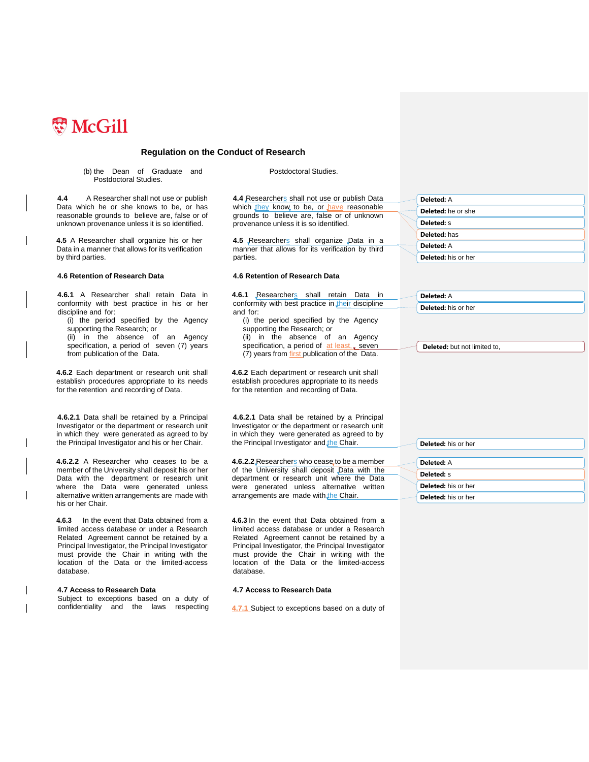

(b) the Dean of Graduate and Postdoctoral Studies.

**4.4** A Researcher shall not use or publish Data which he or she knows to be, or has reasonable grounds to believe are, false or of unknown provenance unless it is so identified.

**4.5** A Researcher shall organize his or her Data in a manner that allows for its verification by third parties.

#### **4.6 Retention of Research Data 4.6 Retention of Research Data**

**4.6.1** A Researcher shall retain Data in conformity with best practice in his or her discipline and for:

(i) the period specified by the Agency supporting the Research; or (ii) in the absence of an Agency specification, a period of seven (7) years from publication of the Data.

**4.6.2** Each department or research unit shall establish procedures appropriate to its needs for the retention and recording of Data.

**4.6.2.1** Data shall be retained by a Principal Investigator or the department or research unit in which they were generated as agreed to by the Principal Investigator and his or her Chair.

**4.6.2.2** A Researcher who ceases to be a member of the University shall deposit his or her Data with the department or research unit where the Data were generated unless alternative written arrangements are made with his or her Chair.

**4.6.3** In the event that Data obtained from a limited access database or under a Research Related Agreement cannot be retained by a Principal Investigator, the Principal Investigator must provide the Chair in writing with the location of the Data or the limited-access database.

#### **4.7 Access to Research Data**

Subject to exceptions based on a duty of confidentiality and the laws respecting Postdoctoral Studies.

4.4 Researchers shall not use or publish Data which they know to be, or have reasonable grounds to believe are, false or of unknown provenance unless it is so identified.

4.5 Researchers shall organize Data in a manner that allows for its verification by third parties.

**4.6.1** Researchers shall retain Data in conformity with best practice in their discipline and for:

(i) the period specified by the Agency supporting the Research; or (ii) in the absence of an Agency specification, a period of  $at$  least, seven (7) years from first publication of the Data.

**4.6.2** Each department or research unit shall establish procedures appropriate to its needs for the retention and recording of Data.

**4.6.2.1** Data shall be retained by a Principal Investigator or the department or research unit in which they were generated as agreed to by the Principal Investigator and the Chair.

4.6.2.2 Researchers who cease to be a member of the University shall deposit Data with the department or research unit where the Data were generated unless alternative written arrangements are made with the Chair.

**4.6.3** In the event that Data obtained from a limited access database or under a Research Related Agreement cannot be retained by a Principal Investigator, the Principal Investigator must provide the Chair in writing with the location of the Data or the limited-access database.

#### **4.7 Access to Research Data**

**4.7.1** Subject to exceptions based on a duty of

|  | Deleted: A          |
|--|---------------------|
|  | Deleted: he or she  |
|  | Deleted: S          |
|  | Deleted: has        |
|  | Deleted: A          |
|  | Deleted: his or her |

| <b>Deleted:</b> A          |  |
|----------------------------|--|
| <b>Deleted:</b> his or her |  |

**Deleted:** but not limited to,

| Deleted: his or her        |
|----------------------------|
|                            |
| Deleted: A                 |
| Deleted: S                 |
| <b>Deleted:</b> his or her |
| Deleted: his or her        |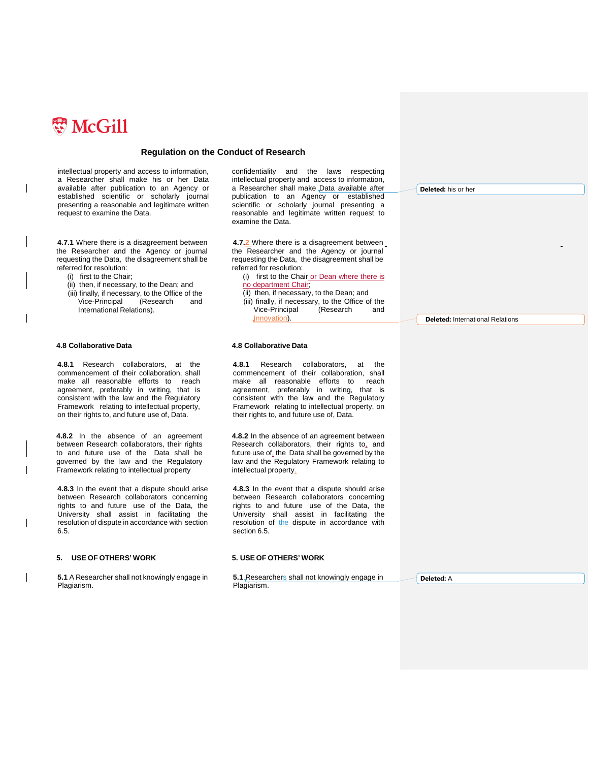

intellectual property and access to information, a Researcher shall make his or her Data available after publication to an Agency or established scientific or scholarly journal presenting a reasonable and legitimate written request to examine the Data.

**4.7.1** Where there is a disagreement between the Researcher and the Agency or journal requesting the Data, the disagreement shall be referred for resolution:

- (i) first to the Chair;
- (ii) then, if necessary, to the Dean; and
- (iii) finally, if necessary, to the Office of the Vice-Principal (Research and International Relations).

**4.8.1** Research collaborators, at the commencement of their collaboration, shall make all reasonable efforts to reach agreement, preferably in writing, that is consistent with the law and the Regulatory Framework relating to intellectual property, on their rights to, and future use of, Data.

**4.8.2** In the absence of an agreement between Research collaborators, their rights to and future use of the Data shall be governed by the law and the Regulatory Framework relating to intellectual property

**4.8.3** In the event that a dispute should arise between Research collaborators concerning rights to and future use of the Data, the University shall assist in facilitating the resolution of dispute in accordance with section 6.5.

#### **5. USE OF OTHERS' WORK 5. USE OF OTHERS' WORK**

**5.1** A Researcher shall not knowingly engage in Plagiarism.

confidentiality and the laws respecting intellectual property and access to information, a Researcher shall make Data available after publication to an Agency or established scientific or scholarly journal presenting a reasonable and legitimate written request to examine the Data.

**4.7.2** Where there is a disagreement between the Researcher and the Agency or journal requesting the Data, the disagreement shall be referred for resolution:

(i) first to the Chair or Dean where there is no department Chair;

(ii) then, if necessary, to the Dean; and (iii) finally, if necessary, to the Office of the<br>Vice-Principal (Research and Vice-Principal (Research and Innovation).

**Deleted:** his or her

**Deleted:** International Relations

#### **4.8 Collaborative Data 4.8 Collaborative Data**

**4.8.1** Research collaborators, at the commencement of their collaboration, shall make all reasonable efforts to agreement, preferably in writing, that is consistent with the law and the Regulatory Framework relating to intellectual property, on their rights to, and future use of, Data.

**4.8.2** In the absence of an agreement between Research collaborators, their rights to, and future use of, the Data shall be governed by the law and the Regulatory Framework relating to intellectual property.

**4.8.3** In the event that a dispute should arise between Research collaborators concerning rights to and future use of the Data, the University shall assist in facilitating the resolution of the dispute in accordance with section 6.5.

**5.1** Researchers shall not knowingly engage in Plagiarism.

**Deleted:** A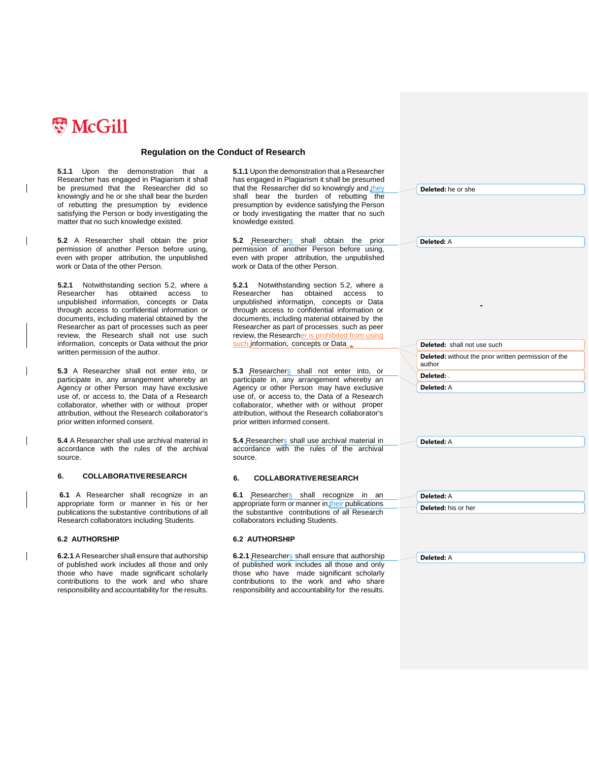

**5.1.1** Upon the demonstration that a Researcher has engaged in Plagiarism it shall be presumed that the Researcher did so knowingly and he or she shall bear the burden of rebutting the presumption by evidence satisfying the Person or body investigating the matter that no such knowledge existed.

**5.2** A Researcher shall obtain the prior permission of another Person before using, even with proper attribution, the unpublished work or Data of the other Person.

**5.2.1** Notwithstanding section 5.2, where a Researcher has obtained access to unpublished information, concepts or Data through access to confidential information or documents, including material obtained by the Researcher as part of processes such as peer review, the Research shall not use such information, concepts or Data without the prior written permission of the author.

**5.3** A Researcher shall not enter into, or participate in, any arrangement whereby an Agency or other Person may have exclusive use of, or access to, the Data of a Research collaborator, whether with or without proper attribution, without the Research collaborator's prior written informed consent.

**5.4** A Researcher shall use archival material in accordance with the rules of the archival source.

### **6. COLLABORATIVERESEARCH 6. COLLABORATIVERESEARCH**

**6.1** A Researcher shall recognize in an appropriate form or manner in his or her publications the substantive contributions of all Research collaborators including Students.

**6.2.1** A Researcher shall ensure that authorship of published work includes all those and only those who have made significant scholarly contributions to the work and who share responsibility and accountability for the results.

**5.1.1** Upon the demonstration that a Researcher has engaged in Plagiarism it shall be presumed that the Researcher did so knowingly and they shall bear the burden of rebutting the presumption by evidence satisfying the Person or body investigating the matter that no such knowledge existed.

5.2 Researchers shall obtain the prior permission of another Person before using, even with proper attribution, the unpublished work or Data of the other Person.

**5.2.1** Notwithstanding section 5.2, where a Researcher has obtained access to unpublished information, concepts or Data through access to confidential information or documents, including material obtained by the Researcher as part of processes, such as peer review, the Researcher is prohibited from such information, concepts or Data.

5.3 Researchers shall not enter into, or participate in, any arrangement whereby an Agency or other Person may have exclusive use of, or access to, the Data of a Research collaborator, whether with or without proper attribution, without the Research collaborator's prior written informed consent.

5.4 Researchers shall use archival material in accordance with the rules of the archival source.

**6.1** Researchers shall recognize in an appropriate form or manner in their publications the substantive contributions of all Research collaborators including Students.

#### **6.2 AUTHORSHIP 6.2 AUTHORSHIP**

**6.2.1** Researchers shall ensure that authorship of published work includes all those and only those who have made significant scholarly contributions to the work and who share responsibility and accountability for the results.

**Deleted:** he or she

**Deleted:** A

**Deleted:** shall not use such **Deleted:** without the prior written permission of the author **Deleted:** .

**Deleted:** A

**Deleted:** A

| $\blacksquare$ Deleted: A |
|---------------------------|
| Deleted: his or her       |

**Deleted:** A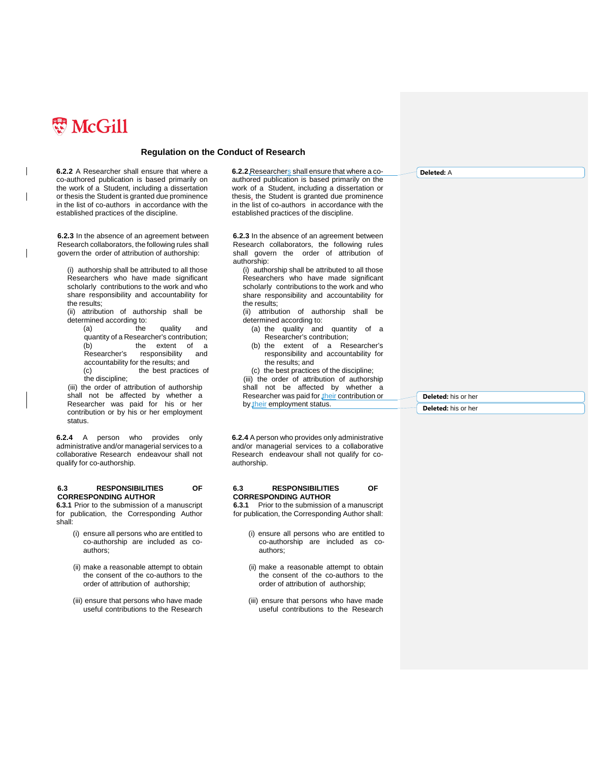

 $\overline{\phantom{a}}$ 

### **Regulation on the Conduct of Research**

**6.2.2** A Researcher shall ensure that where a co-authored publication is based primarily on the work of a Student, including a dissertation or thesis the Student is granted due prominence in the list of co-authors in accordance with the established practices of the discipline.

**6.2.3** In the absence of an agreement between Research collaborators, the following rules shall govern the order of attribution of authorship:

(i) authorship shall be attributed to all those Researchers who have made significant scholarly contributions to the work and who share responsibility and accountability for the results;

(ii) attribution of authorship shall be determined according to:

(a) the quality and quantity of a Researcher's contribution; (b) the extent of a<br>Researcher's responsibility and responsibility and accountability for the results; and (c) the best practices of the discipline;

(iii) the order of attribution of authorship shall not be affected by whether a Researcher was paid for his or her contribution or by his or her employment status.

**6.2.4** A person who provides only administrative and/or managerial services to a collaborative Research endeavour shall not qualify for co-authorship.

#### **6.3 RESPONSIBILITIES OF CORRESPONDING AUTHOR**

**6.3.1** Prior to the submission of a manuscript for publication, the Corresponding Author shall:

- (i) ensure all persons who are entitled to co-authorship are included as coauthors;
- (ii) make a reasonable attempt to obtain the consent of the co-authors to the order of attribution of authorship;
- (iii) ensure that persons who have made useful contributions to the Research

6.2.2 Researchers shall ensure that where a coauthored publication is based primarily on the work of a Student, including a dissertation or thesis, the Student is granted due prominence in the list of co-authors in accordance with the established practices of the discipline.

**6.2.3** In the absence of an agreement between Research collaborators, the following rules shall govern the order of attribution of authorship:

(i) authorship shall be attributed to all those Researchers who have made significant scholarly contributions to the work and who share responsibility and accountability for the results;

- (ii) attribution of authorship shall be determined according to:
	- (a) the quality and quantity of a Researcher's contribution;
	- (b) the extent of a Researcher's responsibility and accountability for the results; and
	- (c) the best practices of the discipline;

(iii) the order of attribution of authorship shall not be affected by whether a Researcher was paid for their contribution or by their employment status.

**6.2.4** A person who provides only administrative and/or managerial services to a collaborative Research endeavour shall not qualify for coauthorship.

#### **6.3 RESPONSIBILITIES OF CORRESPONDING AUTHOR**

**6.3.1** Prior to the submission of a manuscript for publication, the Corresponding Author shall:

- (i) ensure all persons who are entitled to co-authorship are included as coauthors;
- (ii) make a reasonable attempt to obtain the consent of the co-authors to the order of attribution of authorship;
- (iii) ensure that persons who have made useful contributions to the Research

**Deleted:** A

**Deleted:** his or her **Deleted:** his or her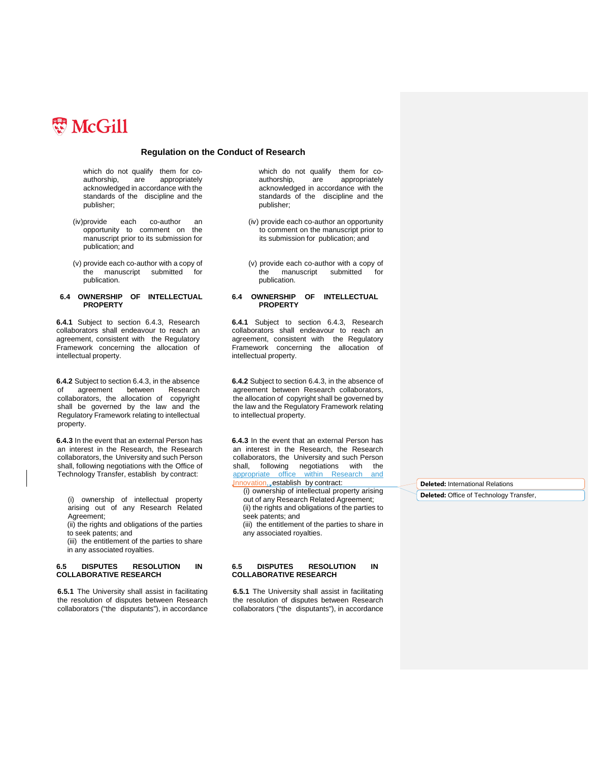

which do not qualify them for co-<br>authorship, are appropriately are appropriately acknowledged in accordance with the standards of the discipline and the publisher;

- (iv)provide each co-author an opportunity to comment on the manuscript prior to its submission for publication; and
- (v) provide each co-author with a copy of the manuscript submitted for publication.

#### **6.4 OWNERSHIP OF INTELLECTUAL PROPERTY**

**6.4.1** Subject to section 6.4.3, Research collaborators shall endeavour to reach an agreement, consistent with the Regulatory Framework concerning the allocation of intellectual property.

**6.4.2** Subject to section 6.4.3, in the absence<br>of agreement between Research agreement between Research collaborators, the allocation of copyright shall be governed by the law and the Regulatory Framework relating to intellectual property.

**6.4.3** In the event that an external Person has an interest in the Research, the Research collaborators, the University and such Person shall, following negotiations with the Office of Technology Transfer, establish by contract:

(i) ownership of intellectual property arising out of any Research Related Agreement;

(ii) the rights and obligations of the parties to seek patents; and

(iii) the entitlement of the parties to share in any associated royalties.

#### **6.5 DISPUTES RESOLUTION IN COLLABORATIVE RESEARCH**

**6.5.1** The University shall assist in facilitating the resolution of disputes between Research collaborators ("the disputants"), in accordance

which do not qualify them for co-<br>authorship, are appropriately are appropriately acknowledged in accordance with the standards of the discipline and the publisher;

- (iv) provide each co-author an opportunity to comment on the manuscript prior to its submission for publication; and
- (v) provide each co-author with a copy of the manuscript submitted for publication.

#### **6.4 OWNERSHIP OF INTELLECTUAL PROPERTY**

**6.4.1** Subject to section 6.4.3, Research collaborators shall endeavour to reach an agreement, consistent with the Regulatory Framework concerning the allocation of intellectual property.

**6.4.2** Subject to section 6.4.3, in the absence of agreement between Research collaborators, the allocation of copyright shall be governed by the law and the Regulatory Framework relating to intellectual property.

**6.4.3** In the event that an external Person has an interest in the Research, the Research collaborators, the University and such Person shall, following negotiations with the<br>appropriate office within Research and within Research and Innovation, establish by contract:

(i) ownership of intellectual property arising out of any Research Related Agreement; (ii) the rights and obligations of the parties to seek patents; and

(iii) the entitlement of the parties to share in any associated royalties.

#### **6.5 DISPUTES RESOLUTION IN COLLABORATIVE RESEARCH**

**6.5.1** The University shall assist in facilitating the resolution of disputes between Research collaborators ("the disputants"), in accordance **Deleted:** International Relations **Deleted:** Office of Technology Transfer,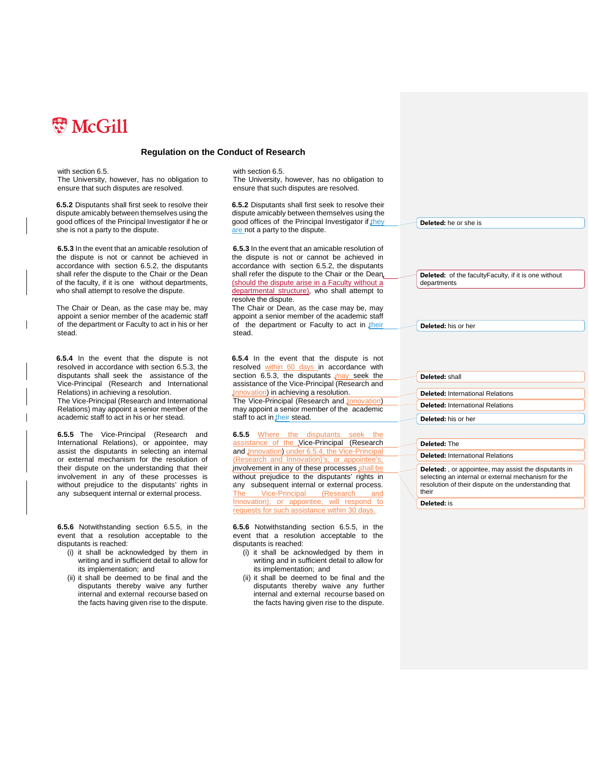

with section 6.5.

The University, however, has no obligation to ensure that such disputes are resolved.

**6.5.2** Disputants shall first seek to resolve their dispute amicably between themselves using the good offices of the Principal Investigator if he or she is not a party to the dispute.

**6.5.3** In the event that an amicable resolution of the dispute is not or cannot be achieved in accordance with section 6.5.2, the disputants shall refer the dispute to the Chair or the Dean of the faculty, if it is one without departments, who shall attempt to resolve the dispute.

The Chair or Dean, as the case may be, may appoint a senior member of the academic staff of the department or Faculty to act in his or her stead.

**6.5.4** In the event that the dispute is not resolved in accordance with section 6.5.3, the disputants shall seek the assistance of the Vice-Principal (Research and International Relations) in achieving a resolution.

The Vice-Principal (Research and International Relations) may appoint a senior member of the academic staff to act in his or her stead.

**6.5.5** The Vice-Principal (Research and International Relations), or appointee, may assist the disputants in selecting an internal or external mechanism for the resolution of their dispute on the understanding that their involvement in any of these processes is without prejudice to the disputants' rights in any subsequent internal or external process.

**6.5.6** Notwithstanding section 6.5.5, in the event that a resolution acceptable to the disputants is reached:

- (i) it shall be acknowledged by them in writing and in sufficient detail to allow for its implementation; and
- (ii) it shall be deemed to be final and the disputants thereby waive any further internal and external recourse based on the facts having given rise to the dispute.

with section 6.5.

The University, however, has no obligation to ensure that such disputes are resolved.

**6.5.2** Disputants shall first seek to resolve their dispute amicably between themselves using the good offices of the Principal Investigator if they are not a party to the dispute.

**6.5.3** In the event that an amicable resolution of the dispute is not or cannot be achieved in accordance with section 6.5.2, the disputants shall refer the dispute to the Chair or the Dean. (should the dispute arise in a Faculty without a departmental structure), who shall attempt to resolve the dispute.

The Chair or Dean, as the case may be, may appoint a senior member of the academic staff of the department or Faculty to act in their stead.

**6.5.4** In the event that the dispute is not resolved within 60 days in accordance with section 6.5.3, the disputants  $\text{may}$  seek the assistance of the Vice-Principal (Research and Innovation) in achieving a resolution. The Vice-Principal (Research and Innovation)

may appoint a senior member of the academic staff to act in their stead.

**6.5.5** Where the disputants seek the assistance of the Vice-Principal (Research and Jnnovation) under 6.5.4, the Vice-Principal (Research and Innovation)'s, or appointee's, involvement in any of these processes shall without prejudice to the disputants' rights in any subsequent internal or external process. The Vice-Principal (Research and Innovation), or appointee, will respond to requests for such assistance within 30 days.

**6.5.6** Notwithstanding section 6.5.5, in the event that a resolution acceptable to the disputants is reached:

- (i) it shall be acknowledged by them in writing and in sufficient detail to allow for its implementation; and
- (ii) it shall be deemed to be final and the disputants thereby waive any further internal and external recourse based on the facts having given rise to the dispute.

**Deleted:** he or she is

**Deleted:** of the facultyFaculty, if it is one without departments

**Deleted:** his or her

| Deleted: shall                          |  |
|-----------------------------------------|--|
|                                         |  |
| <b>Deleted:</b> International Relations |  |
| <b>Deleted:</b> International Relations |  |
| <b>Deleted:</b> his or her              |  |
|                                         |  |

**Deleted:** The

**Deleted:** International Relations

**Deleted:** , or appointee, may assist the disputants in selecting an internal or external mechanism for the resolution of their dispute on the understanding that their

**Deleted:** is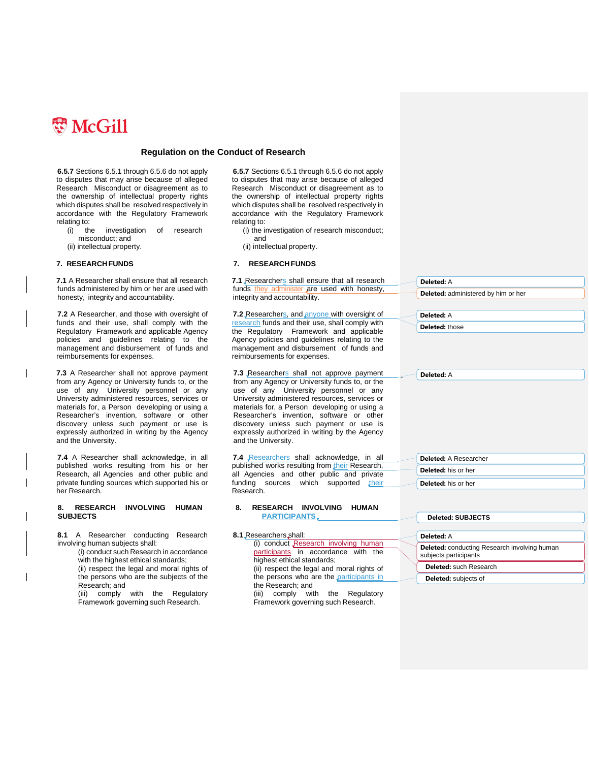

**6.5.7** Sections 6.5.1 through 6.5.6 do not apply to disputes that may arise because of alleged Research Misconduct or disagreement as to the ownership of intellectual property rights which disputes shall be resolved respectively in accordance with the Regulatory Framework relating to:

- (i) the investigation of research misconduct; and
- (ii) intellectual property.

**7.1** A Researcher shall ensure that all research funds administered by him or her are used with honesty, integrity and accountability.

**7.2** A Researcher, and those with oversight of funds and their use, shall comply with the Regulatory Framework and applicable Agency policies and guidelines relating to the management and disbursement of funds and reimbursements for expenses.

**7.3** A Researcher shall not approve payment from any Agency or University funds to, or the use of any University personnel or any University administered resources, services or materials for, a Person developing or using a Researcher's invention, software or other discovery unless such payment or use is expressly authorized in writing by the Agency and the University.

**7.4** A Researcher shall acknowledge, in all published works resulting from his or her Research, all Agencies and other public and private funding sources which supported his or her Research.

### **8. RESEARCH INVOLVING HUMAN SUBJECTS**

- **8.1** A Researcher conducting Research involving human subjects shall: (i) conduct such Research in accordance
	- with the highest ethical standards; (ii) respect the legal and moral rights of
	- the persons who are the subjects of the Research; and

(iii) comply with the Regulatory Framework governing such Research.

**6.5.7** Sections 6.5.1 through 6.5.6 do not apply to disputes that may arise because of alleged Research Misconduct or disagreement as to the ownership of intellectual property rights which disputes shall be resolved respectively in accordance with the Regulatory Framework relating to:

- (i) the investigation of research misconduct; and
- (ii) intellectual property.

### **7. RESEARCH FUNDS 7. RESEARCH FUNDS**

7.1 Researchers shall ensure that all research funds they administer are used with honesty, integrity and accountability.

**7.2** Researchers, and anyone with oversight of research funds and their use, shall comply with the Regulatory Framework and applicable Agency policies and guidelines relating to the management and disbursement of funds and reimbursements for expenses.

**7.3** Researchers shall not approve payment from any Agency or University funds to, or the use of any University personnel or any University administered resources, services or materials for, a Person developing or using a Researcher's invention, software or other discovery unless such payment or use is expressly authorized in writing by the Agency and the University.

**7.4** Researchers shall acknowledge, in all published works resulting from their Research, all Agencies and other public and private funding sources which supported their Research.

#### **8. RESEARCH INVOLVING HUMAN PARTICIPANTS**

| 8.1 Researchers shall:                     |
|--------------------------------------------|
| (i) conduct Research involving human       |
| participants in accordance with the        |
| highest ethical standards;                 |
| (ii) respect the legal and moral rights of |
| the persons who are the participants in    |
| the Research; and                          |
| comply with the Regulatory<br>(iii)        |
| Framework governing such Research.         |

**Deleted:** administered by him or her **Deleted:** A

**Deleted:** those

**Deleted:** A

**Deleted:** A

**Deleted:** A Researcher **Deleted:** his or her **Deleted:** his or her

## **Deleted: SUBJECTS Deleted:** A **Deleted:** conducting Research involving human subjects participants **Deleted:** such Research **Deleted:** subjects of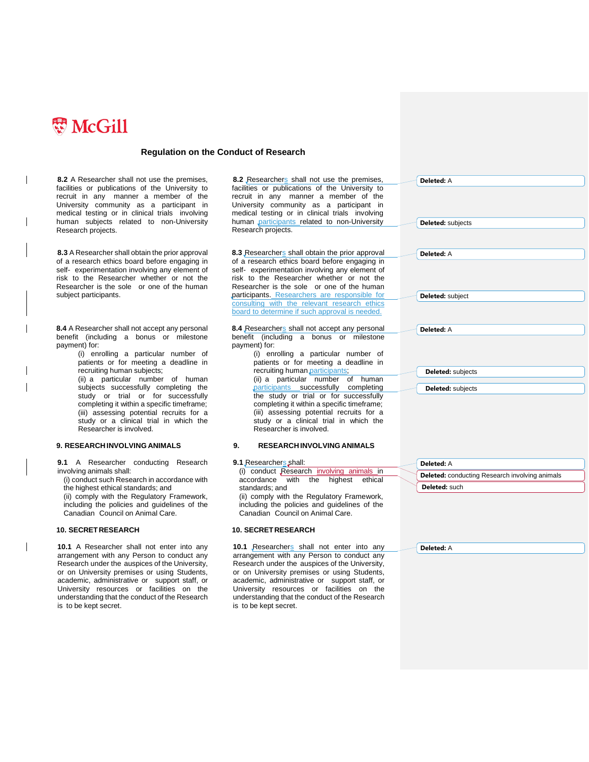

**8.2** A Researcher shall not use the premises, facilities or publications of the University to recruit in any manner a member of the University community as a participant in medical testing or in clinical trials involving human subjects related to non-University Research projects.

**8.3** A Researcher shall obtain the prior approval of a research ethics board before engaging in self- experimentation involving any element of risk to the Researcher whether or not the Researcher is the sole or one of the human subject participants.

**8.4** A Researcher shall not accept any personal benefit (including a bonus or milestone payment) for:

- (i) enrolling a particular number of patients or for meeting a deadline in recruiting human subjects; (ii) a particular number of human subjects successfully completing the
- study or trial or for successfully completing it within a specific timeframe; (iii) assessing potential recruits for a study or a clinical trial in which the Researcher is involved.

**9.1** A Researcher conducting Research involving animals shall:

(i) conduct such Research in accordance with the highest ethical standards; and

(ii) comply with the Regulatory Framework, including the policies and guidelines of the Canadian Council on Animal Care.

**10.1** A Researcher shall not enter into any arrangement with any Person to conduct any Research under the auspices of the University, or on University premises or using Students, academic, administrative or support staff, or University resources or facilities on the understanding that the conduct of the Research is to be kept secret.

8.2 Researchers shall not use the premises, facilities or publications of the University to recruit in any manner a member of the University community as a participant in medical testing or in clinical trials involving human participants related to non-University Research projects.

8.3 Researchers shall obtain the prior approval of a research ethics board before engaging in self- experimentation involving any element of risk to the Researcher whether or not the Researcher is the sole or one of the human participants. Researchers are responsible for consulting with the relevant research ethics board to determine if such approval is needed.

8.4 Researchers shall not accept any personal benefit (including a bonus or milestone payment) for:

(i) enrolling a particular number of patients or for meeting a deadline in recruiting human participants; (ii) a particular number of human participants successfully completing the study or trial or for successfully completing it within a specific timeframe; (iii) assessing potential recruits for a study or a clinical trial in which the

#### **9. RESEARCH INVOLVING ANIMALS 9. RESEARCH INVOLVING ANIMALS**

Researcher is involved.

#### **9.1** Researchers shall:

| (i) conduct Research involving animals in    |
|----------------------------------------------|
| accordance with the highest ethical          |
| standards: and                               |
| (ii) comply with the Regulatory Framework,   |
| including the policies and guidelines of the |
| Canadian Council on Animal Care.             |

#### **10. SECRETRESEARCH 10. SECRETRESEARCH**

**10.1** Researchers shall not enter into any arrangement with any Person to conduct any Research under the auspices of the University, or on University premises or using Students, academic, administrative or support staff, or University resources or facilities on the understanding that the conduct of the Research is to be kept secret.

**Deleted:** A **Deleted:** conducting Research involving animals

**Deleted:** A

**Deleted:** such

**Deleted:** A

**Deleted:** A

**Deleted:** subject

**Deleted:** subjects **Deleted:** subjects

**Deleted:** A

**Deleted:** subjects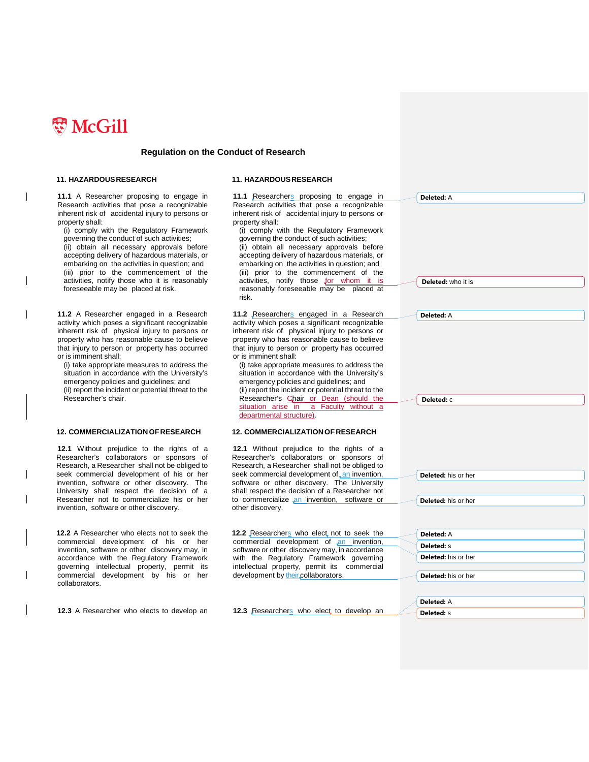

#### **11. HAZARDOUSRESEARCH 11. HAZARDOUSRESEARCH**

**11.1** A Researcher proposing to engage in Research activities that pose a recognizable inherent risk of accidental injury to persons or property shall:

(i) comply with the Regulatory Framework governing the conduct of such activities; (ii) obtain all necessary approvals before accepting delivery of hazardous materials, or embarking on the activities in question; and (iii) prior to the commencement of the activities, notify those who it is reasonably foreseeable may be placed at risk.

**11.2** A Researcher engaged in a Research activity which poses a significant recognizable inherent risk of physical injury to persons or property who has reasonable cause to believe that injury to person or property has occurred or is imminent shall:

(i) take appropriate measures to address the situation in accordance with the University's emergency policies and guidelines; and (ii) report the incident or potential threat to the Researcher's chair.

#### **12. COMMERCIALIZATIONOF RESEARCH 12. COMMERCIALIZATIONOF RESEARCH**

**12.1** Without prejudice to the rights of a Researcher's collaborators or sponsors of Research, a Researcher shall not be obliged to seek commercial development of his or her invention, software or other discovery. The University shall respect the decision of a Researcher not to commercialize his or her invention, software or other discovery.

**12.2** A Researcher who elects not to seek the commercial development of his or her invention, software or other discovery may, in accordance with the Regulatory Framework governing intellectual property, permit its commercial development by his or her collaborators.

**12.3** A Researcher who elects to develop an **12.3** Researchers who elect to develop an

11.1 Researchers proposing to engage in Research activities that pose a recognizable inherent risk of accidental injury to persons or property shall: (i) comply with the Regulatory Framework governing the conduct of such activities; (ii) obtain all necessary approvals before accepting delivery of hazardous materials, or embarking on the activities in question; and (iii) prior to the commencement of the activities, notify those for whom it is reasonably foreseeable may be placed at risk.

**11.2** Researchers engaged in a Research activity which poses a significant recognizable inherent risk of physical injury to persons or property who has reasonable cause to believe that injury to person or property has occurred or is imminent shall:

(i) take appropriate measures to address the situation in accordance with the University's emergency policies and guidelines; and (ii) report the incident or potential threat to the Researcher's Chair or Dean (should the situation arise in a Faculty without a departmental structure).

**12.1** Without prejudice to the rights of a Researcher's collaborators or sponsors of Research, a Researcher shall not be obliged to seek commercial development of an invention, software or other discovery. The University shall respect the decision of a Researcher not to commercialize an invention, software or other discovery.

12.2 Researchers who elect not to seek the commercial development of an invention, software or other discovery may, in accordance with the Regulatory Framework governing intellectual property, permit its commercial development by their collaborators.

**Deleted:** A **Deleted:** s

**Deleted:** who it is

**Deleted:** A

**Deleted:** A

**Deleted:** c

**Deleted:** his or her

**Deleted:** A **Deleted:** s **Deleted:** his or her **Deleted:** his or her

**Deleted:** his or her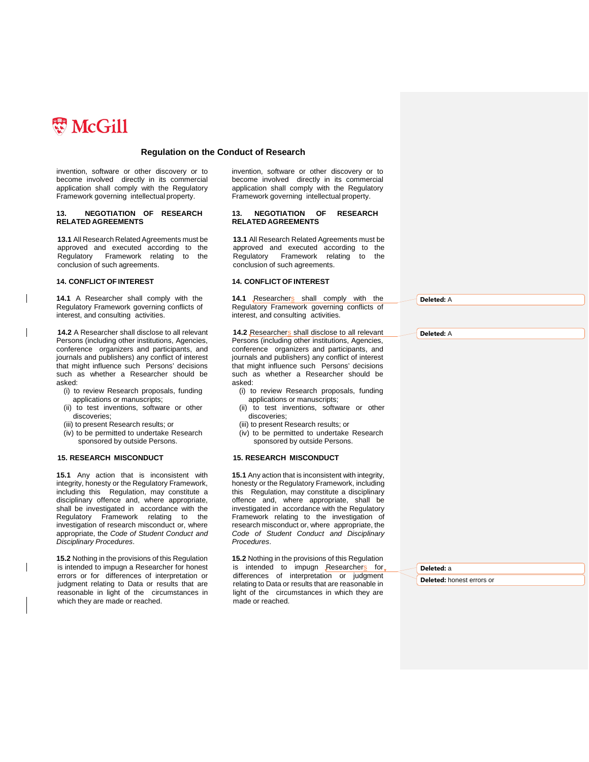

invention, software or other discovery or to become involved directly in its commercial application shall comply with the Regulatory Framework governing intellectual property.

#### **13. NEGOTIATION OF RESEARCH RELATED AGREEMENTS**

**13.1** All Research Related Agreements must be approved and executed according to the Regulatory Framework relating to the conclusion of such agreements.

**14.1** A Researcher shall comply with the Regulatory Framework governing conflicts of interest, and consulting activities.

**14.2** A Researcher shall disclose to all relevant Persons (including other institutions, Agencies, conference organizers and participants, and journals and publishers) any conflict of interest that might influence such Persons' decisions such as whether a Researcher should be asked:

- (i) to review Research proposals, funding applications or manuscripts;
- (ii) to test inventions, software or other discoveries;
- (iii) to present Research results; or
- (iv) to be permitted to undertake Research sponsored by outside Persons.

#### **15. RESEARCH MISCONDUCT 15. RESEARCH MISCONDUCT**

**15.1** Any action that is inconsistent with integrity, honesty or the Regulatory Framework, including this Regulation, may constitute a disciplinary offence and, where appropriate, shall be investigated in accordance with the Regulatory Framework relating to the investigation of research misconduct or, where appropriate, the *Code of Student Conduct and Disciplinary Procedures*.

**15.2** Nothing in the provisions of this Regulation is intended to impugn a Researcher for honest errors or for differences of interpretation or judgment relating to Data or results that are reasonable in light of the circumstances in which they are made or reached.

invention, software or other discovery or to become involved directly in its commercial application shall comply with the Regulatory Framework governing intellectual property.

#### **13. NEGOTIATION OF RESEARCH RELATED AGREEMENTS**

**13.1** All Research Related Agreements must be approved and executed according to the Regulatory Framework relating to the conclusion of such agreements.

#### **14. CONFLICT OF INTEREST 14. CONFLICT OF INTEREST**

14.1 Researchers shall comply with the Regulatory Framework governing conflicts of interest, and consulting activities.

#### 14.2 Researchers shall disclose to all relevant

Persons (including other institutions, Agencies, conference organizers and participants, and journals and publishers) any conflict of interest that might influence such Persons' decisions such as whether a Researcher should be asked:

- (i) to review Research proposals, funding applications or manuscripts;
- (ii) to test inventions, software or other discoveries;
- (iii) to present Research results; or
- (iv) to be permitted to undertake Research sponsored by outside Persons.

**15.1** Any action that is inconsistent with integrity, honesty or the Regulatory Framework, including this Regulation, may constitute a disciplinary offence and, where appropriate, shall be investigated in accordance with the Regulatory Framework relating to the investigation of research misconduct or, where appropriate, the *Code of Student Conduct and Disciplinary Procedures*.

**15.2** Nothing in the provisions of this Regulation is intended to impugn Researchers for differences of interpretation or judgment relating to Data or results that are reasonable in light of the circumstances in which they are made or reached.

**Deleted:** A

**Deleted:** A

**Deleted:** a

**Deleted:** honest errors or